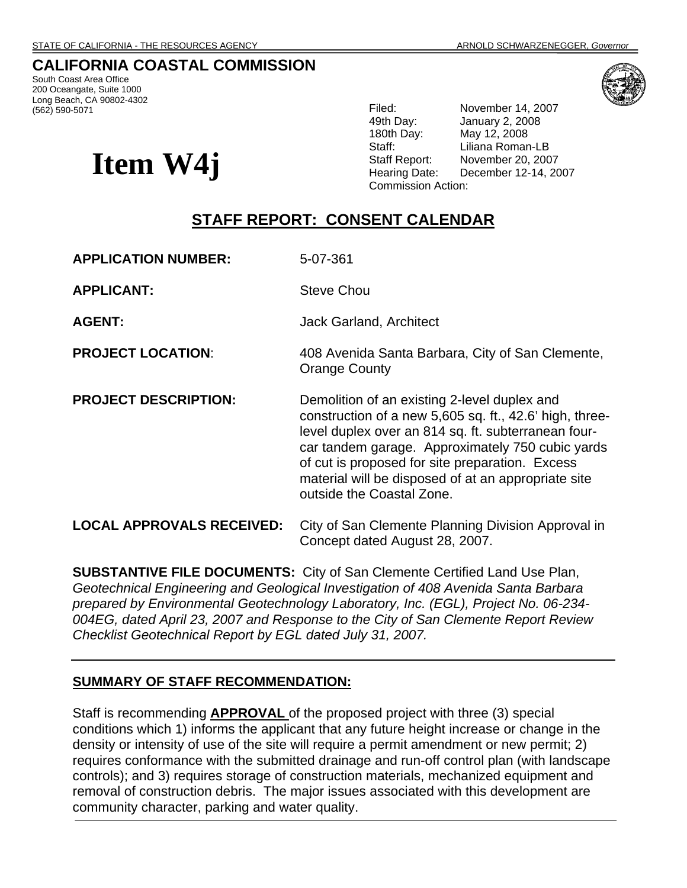## **CALIFORNIA COASTAL COMMISSION**

South Coast Area Office 200 Oceangate, Suite 1000 Long Beach, CA 90802-4302<br>(562) 590-5071



**Item W4j** 

Filed: November 14, 2007 49th Day: January 2, 2008 180th Day: May 12, 2008 Staff: Liliana Roman-LB Staff Report: November 20, 2007 Hearing Date: December 12-14, 2007 Commission Action:

# **STAFF REPORT: CONSENT CALENDAR**

**APPLICATION NUMBER:** 5-07-361

**APPLICANT:** Steve Chou

**AGENT:** Jack Garland, Architect

- **PROJECT LOCATION:** 408 Avenida Santa Barbara, City of San Clemente, Orange County
- **PROJECT DESCRIPTION:** Demolition of an existing 2-level duplex and construction of a new 5,605 sq. ft., 42.6' high, threelevel duplex over an 814 sq. ft. subterranean fourcar tandem garage. Approximately 750 cubic yards of cut is proposed for site preparation. Excess material will be disposed of at an appropriate site outside the Coastal Zone.

**LOCAL APPROVALS RECEIVED:** City of San Clemente Planning Division Approval in Concept dated August 28, 2007.

**SUBSTANTIVE FILE DOCUMENTS:** City of San Clemente Certified Land Use Plan, *Geotechnical Engineering and Geological Investigation of 408 Avenida Santa Barbara prepared by Environmental Geotechnology Laboratory, Inc. (EGL), Project No. 06-234- 004EG, dated April 23, 2007 and Response to the City of San Clemente Report Review Checklist Geotechnical Report by EGL dated July 31, 2007.* 

#### **SUMMARY OF STAFF RECOMMENDATION:**

Staff is recommending **APPROVAL** of the proposed project with three (3) special conditions which 1) informs the applicant that any future height increase or change in the density or intensity of use of the site will require a permit amendment or new permit; 2) requires conformance with the submitted drainage and run-off control plan (with landscape controls); and 3) requires storage of construction materials, mechanized equipment and removal of construction debris. The major issues associated with this development are community character, parking and water quality.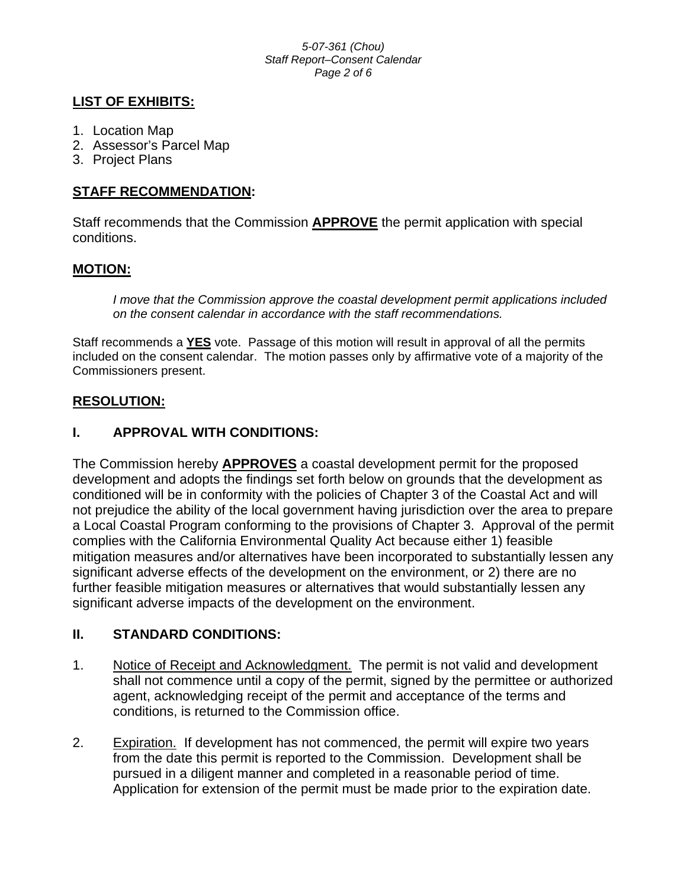#### *5-07-361 (Chou) Staff Report–Consent Calendar Page 2 of 6*

## **LIST OF EXHIBITS:**

- 1. Location Map
- 2. Assessor's Parcel Map
- 3. Project Plans

## **STAFF RECOMMENDATION:**

Staff recommends that the Commission **APPROVE** the permit application with special conditions.

## **MOTION:**

*I move that the Commission approve the coastal development permit applications included on the consent calendar in accordance with the staff recommendations.*

Staff recommends a **YES** vote. Passage of this motion will result in approval of all the permits included on the consent calendar. The motion passes only by affirmative vote of a majority of the Commissioners present.

## **RESOLUTION:**

## **I. APPROVAL WITH CONDITIONS:**

The Commission hereby **APPROVES** a coastal development permit for the proposed development and adopts the findings set forth below on grounds that the development as conditioned will be in conformity with the policies of Chapter 3 of the Coastal Act and will not prejudice the ability of the local government having jurisdiction over the area to prepare a Local Coastal Program conforming to the provisions of Chapter 3. Approval of the permit complies with the California Environmental Quality Act because either 1) feasible mitigation measures and/or alternatives have been incorporated to substantially lessen any significant adverse effects of the development on the environment, or 2) there are no further feasible mitigation measures or alternatives that would substantially lessen any significant adverse impacts of the development on the environment.

## **II. STANDARD CONDITIONS:**

- 1. Notice of Receipt and Acknowledgment. The permit is not valid and development shall not commence until a copy of the permit, signed by the permittee or authorized agent, acknowledging receipt of the permit and acceptance of the terms and conditions, is returned to the Commission office.
- 2. Expiration. If development has not commenced, the permit will expire two years from the date this permit is reported to the Commission. Development shall be pursued in a diligent manner and completed in a reasonable period of time. Application for extension of the permit must be made prior to the expiration date.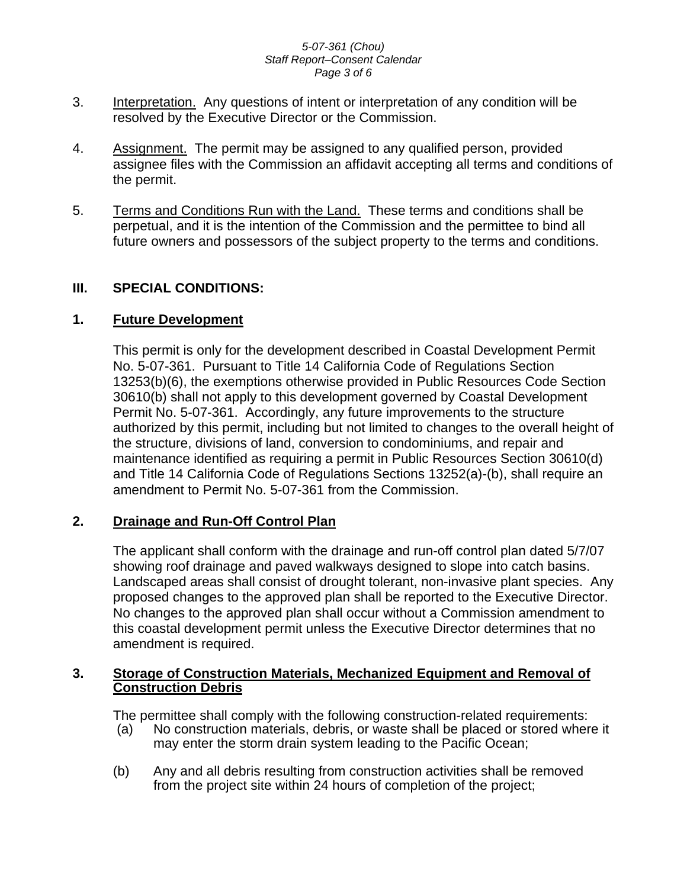#### *5-07-361 (Chou) Staff Report–Consent Calendar Page 3 of 6*

- 3. Interpretation. Any questions of intent or interpretation of any condition will be resolved by the Executive Director or the Commission.
- 4. Assignment. The permit may be assigned to any qualified person, provided assignee files with the Commission an affidavit accepting all terms and conditions of the permit.
- 5. Terms and Conditions Run with the Land. These terms and conditions shall be perpetual, and it is the intention of the Commission and the permittee to bind all future owners and possessors of the subject property to the terms and conditions.

### **III. SPECIAL CONDITIONS:**

### **1. Future Development**

This permit is only for the development described in Coastal Development Permit No. 5-07-361. Pursuant to Title 14 California Code of Regulations Section 13253(b)(6), the exemptions otherwise provided in Public Resources Code Section 30610(b) shall not apply to this development governed by Coastal Development Permit No. 5-07-361. Accordingly, any future improvements to the structure authorized by this permit, including but not limited to changes to the overall height of the structure, divisions of land, conversion to condominiums, and repair and maintenance identified as requiring a permit in Public Resources Section 30610(d) and Title 14 California Code of Regulations Sections 13252(a)-(b), shall require an amendment to Permit No. 5-07-361 from the Commission.

### **2. Drainage and Run-Off Control Plan**

The applicant shall conform with the drainage and run-off control plan dated 5/7/07 showing roof drainage and paved walkways designed to slope into catch basins. Landscaped areas shall consist of drought tolerant, non-invasive plant species. Any proposed changes to the approved plan shall be reported to the Executive Director. No changes to the approved plan shall occur without a Commission amendment to this coastal development permit unless the Executive Director determines that no amendment is required.

### **3. Storage of Construction Materials, Mechanized Equipment and Removal of Construction Debris**

The permittee shall comply with the following construction-related requirements:

- (a) No construction materials, debris, or waste shall be placed or stored where it may enter the storm drain system leading to the Pacific Ocean;
- (b) Any and all debris resulting from construction activities shall be removed from the project site within 24 hours of completion of the project;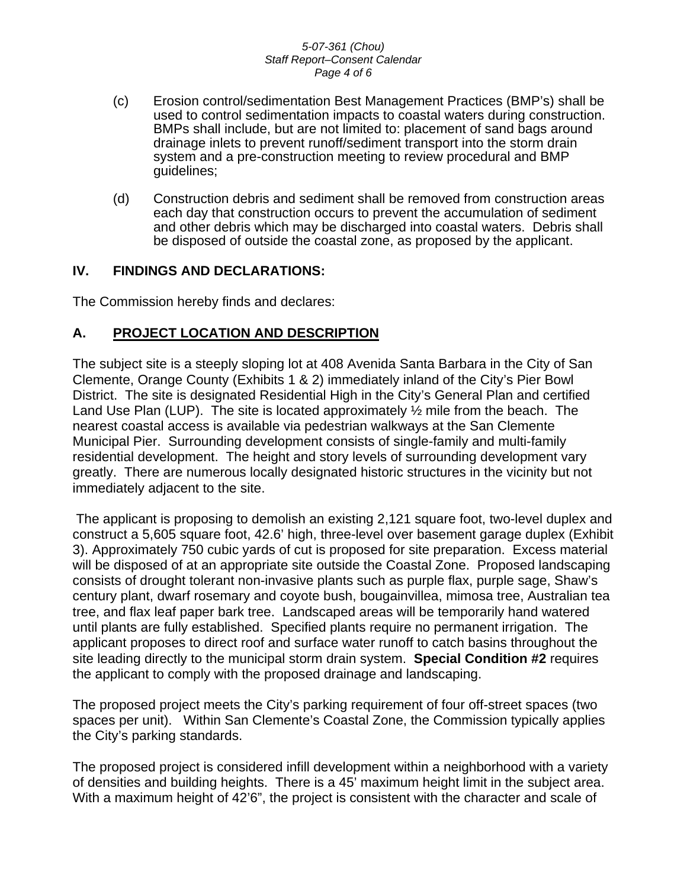#### *5-07-361 (Chou) Staff Report–Consent Calendar Page 4 of 6*

- (c) Erosion control/sedimentation Best Management Practices (BMP's) shall be used to control sedimentation impacts to coastal waters during construction. BMPs shall include, but are not limited to: placement of sand bags around drainage inlets to prevent runoff/sediment transport into the storm drain system and a pre-construction meeting to review procedural and BMP guidelines;
- (d) Construction debris and sediment shall be removed from construction areas each day that construction occurs to prevent the accumulation of sediment and other debris which may be discharged into coastal waters. Debris shall be disposed of outside the coastal zone, as proposed by the applicant.

## **IV. FINDINGS AND DECLARATIONS:**

The Commission hereby finds and declares:

### **A. PROJECT LOCATION AND DESCRIPTION**

The subject site is a steeply sloping lot at 408 Avenida Santa Barbara in the City of San Clemente, Orange County (Exhibits 1 & 2) immediately inland of the City's Pier Bowl District. The site is designated Residential High in the City's General Plan and certified Land Use Plan (LUP). The site is located approximately  $\frac{1}{2}$  mile from the beach. The nearest coastal access is available via pedestrian walkways at the San Clemente Municipal Pier. Surrounding development consists of single-family and multi-family residential development. The height and story levels of surrounding development vary greatly. There are numerous locally designated historic structures in the vicinity but not immediately adjacent to the site.

The applicant is proposing to demolish an existing 2,121 square foot, two-level duplex and construct a 5,605 square foot, 42.6' high, three-level over basement garage duplex (Exhibit 3). Approximately 750 cubic yards of cut is proposed for site preparation. Excess material will be disposed of at an appropriate site outside the Coastal Zone. Proposed landscaping consists of drought tolerant non-invasive plants such as purple flax, purple sage, Shaw's century plant, dwarf rosemary and coyote bush, bougainvillea, mimosa tree, Australian tea tree, and flax leaf paper bark tree. Landscaped areas will be temporarily hand watered until plants are fully established. Specified plants require no permanent irrigation. The applicant proposes to direct roof and surface water runoff to catch basins throughout the site leading directly to the municipal storm drain system. **Special Condition #2** requires the applicant to comply with the proposed drainage and landscaping.

The proposed project meets the City's parking requirement of four off-street spaces (two spaces per unit). Within San Clemente's Coastal Zone, the Commission typically applies the City's parking standards.

The proposed project is considered infill development within a neighborhood with a variety of densities and building heights. There is a 45' maximum height limit in the subject area. With a maximum height of 42'6", the project is consistent with the character and scale of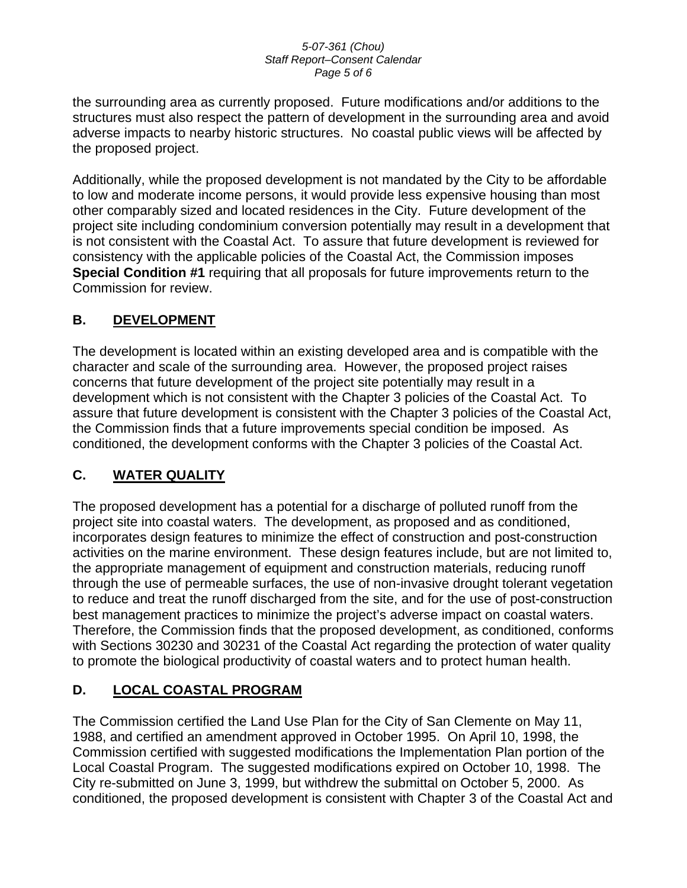#### *5-07-361 (Chou) Staff Report–Consent Calendar Page 5 of 6*

the surrounding area as currently proposed. Future modifications and/or additions to the structures must also respect the pattern of development in the surrounding area and avoid adverse impacts to nearby historic structures. No coastal public views will be affected by the proposed project.

Additionally, while the proposed development is not mandated by the City to be affordable to low and moderate income persons, it would provide less expensive housing than most other comparably sized and located residences in the City. Future development of the project site including condominium conversion potentially may result in a development that is not consistent with the Coastal Act. To assure that future development is reviewed for consistency with the applicable policies of the Coastal Act, the Commission imposes **Special Condition #1** requiring that all proposals for future improvements return to the Commission for review.

## **B. DEVELOPMENT**

The development is located within an existing developed area and is compatible with the character and scale of the surrounding area. However, the proposed project raises concerns that future development of the project site potentially may result in a development which is not consistent with the Chapter 3 policies of the Coastal Act. To assure that future development is consistent with the Chapter 3 policies of the Coastal Act, the Commission finds that a future improvements special condition be imposed. As conditioned, the development conforms with the Chapter 3 policies of the Coastal Act.

# **C. WATER QUALITY**

The proposed development has a potential for a discharge of polluted runoff from the project site into coastal waters. The development, as proposed and as conditioned, incorporates design features to minimize the effect of construction and post-construction activities on the marine environment. These design features include, but are not limited to, the appropriate management of equipment and construction materials, reducing runoff through the use of permeable surfaces, the use of non-invasive drought tolerant vegetation to reduce and treat the runoff discharged from the site, and for the use of post-construction best management practices to minimize the project's adverse impact on coastal waters. Therefore, the Commission finds that the proposed development, as conditioned, conforms with Sections 30230 and 30231 of the Coastal Act regarding the protection of water quality to promote the biological productivity of coastal waters and to protect human health.

# **D. LOCAL COASTAL PROGRAM**

The Commission certified the Land Use Plan for the City of San Clemente on May 11, 1988, and certified an amendment approved in October 1995. On April 10, 1998, the Commission certified with suggested modifications the Implementation Plan portion of the Local Coastal Program. The suggested modifications expired on October 10, 1998. The City re-submitted on June 3, 1999, but withdrew the submittal on October 5, 2000. As conditioned, the proposed development is consistent with Chapter 3 of the Coastal Act and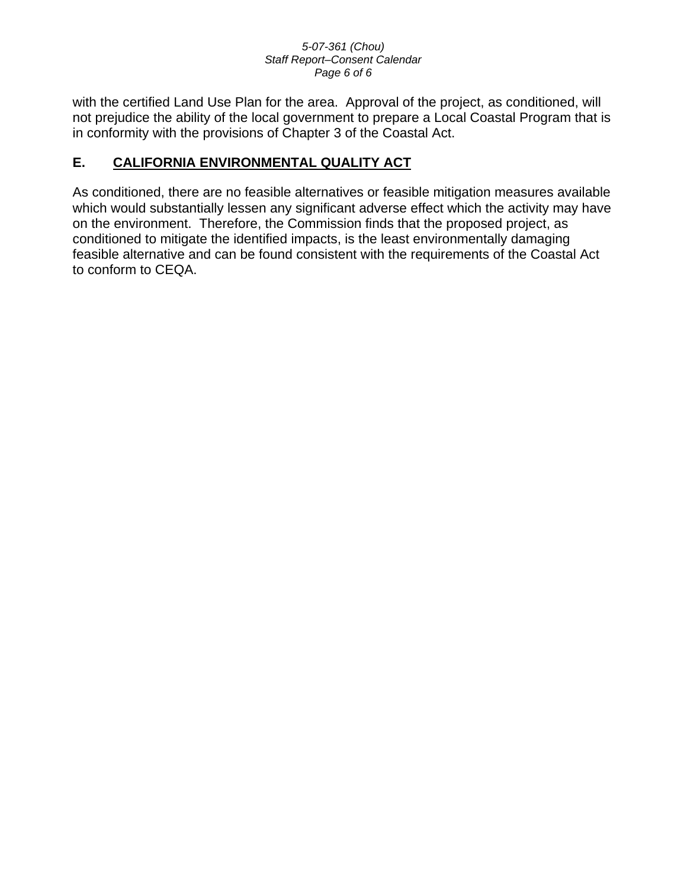#### *5-07-361 (Chou) Staff Report–Consent Calendar Page 6 of 6*

with the certified Land Use Plan for the area. Approval of the project, as conditioned, will not prejudice the ability of the local government to prepare a Local Coastal Program that is in conformity with the provisions of Chapter 3 of the Coastal Act.

# **E. CALIFORNIA ENVIRONMENTAL QUALITY ACT**

As conditioned, there are no feasible alternatives or feasible mitigation measures available which would substantially lessen any significant adverse effect which the activity may have on the environment. Therefore, the Commission finds that the proposed project, as conditioned to mitigate the identified impacts, is the least environmentally damaging feasible alternative and can be found consistent with the requirements of the Coastal Act to conform to CEQA.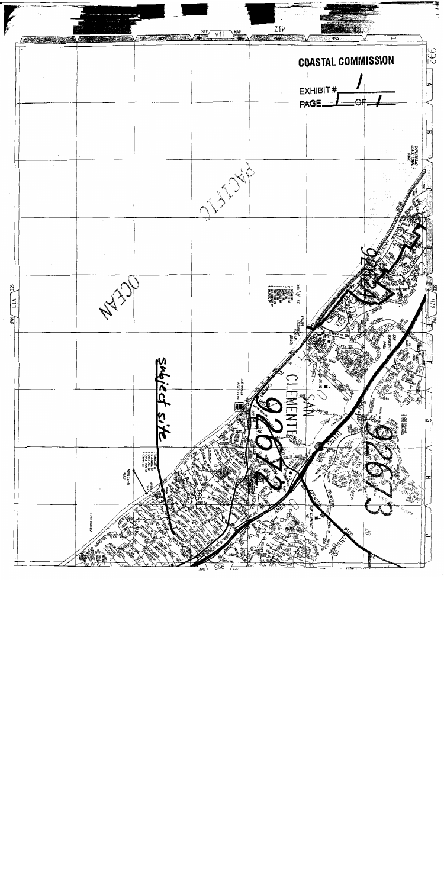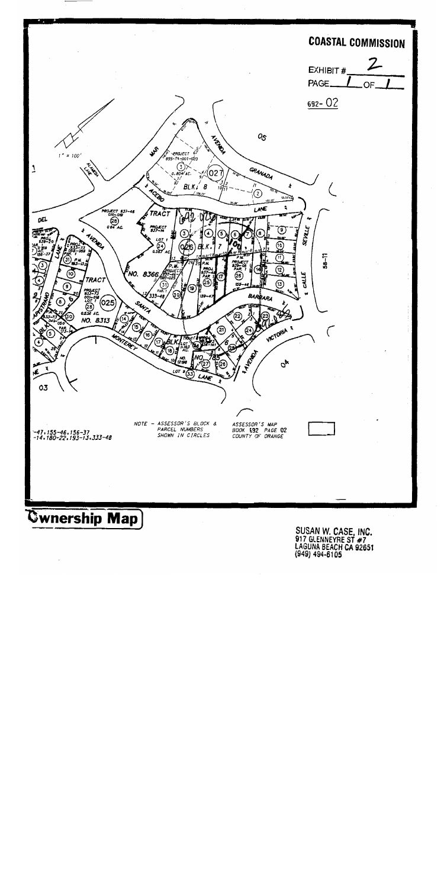

SUSAN W. CASE, INC.<br>917 GLENNEYRE ST #7 LAGUNA BEACH CA 92651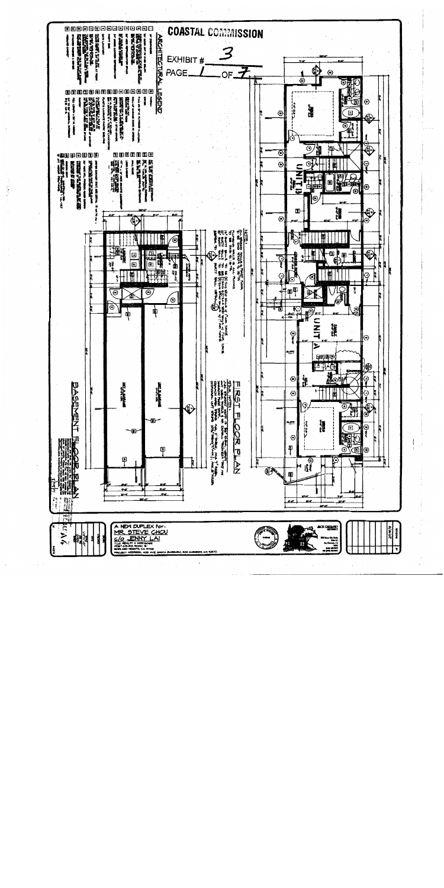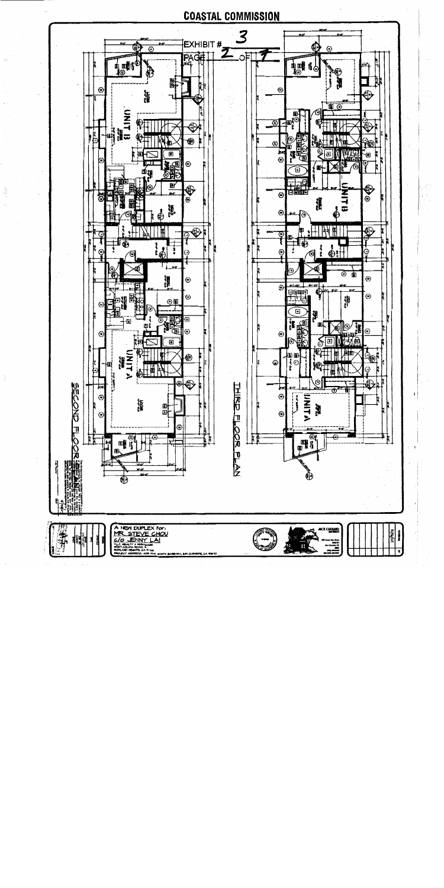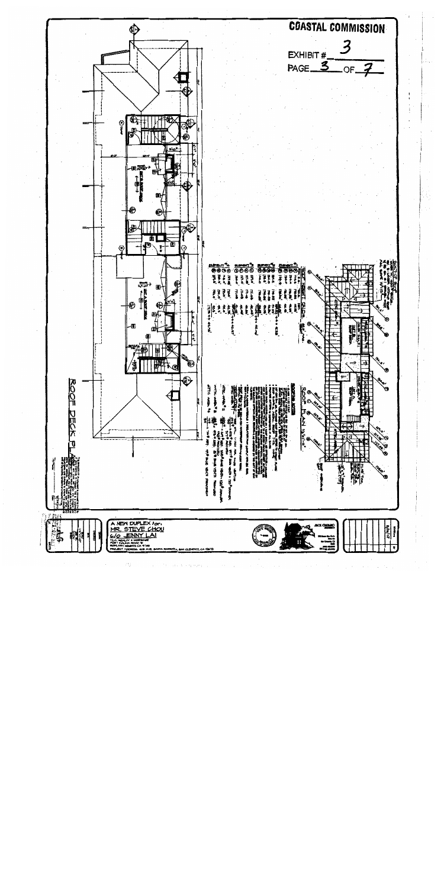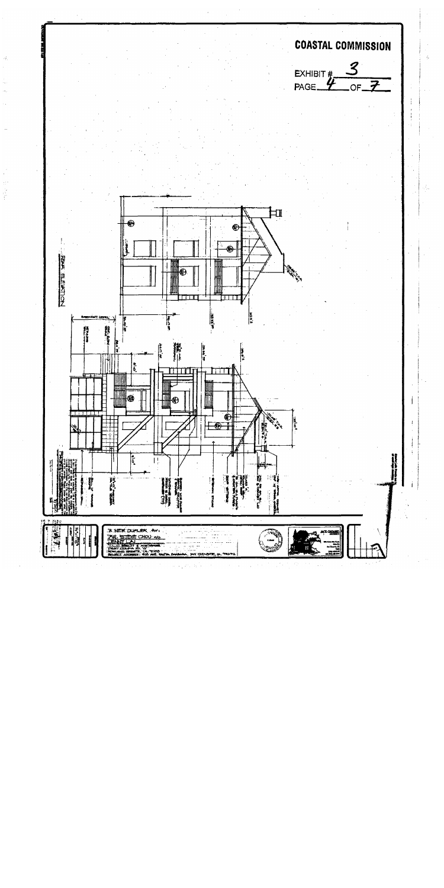

ŷ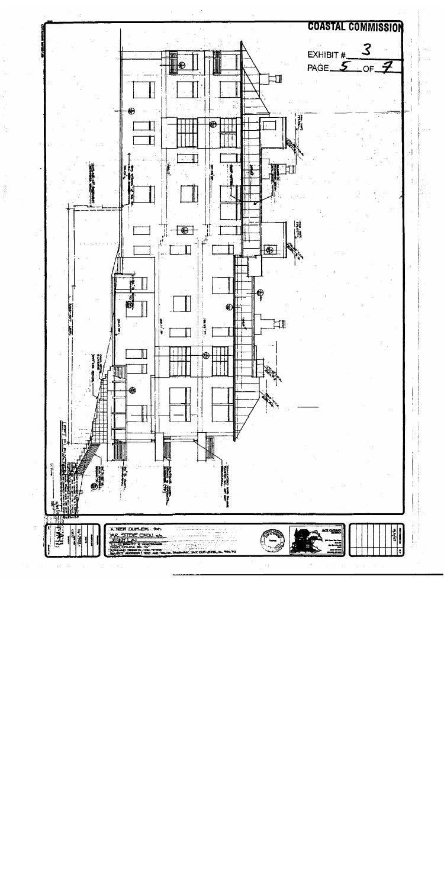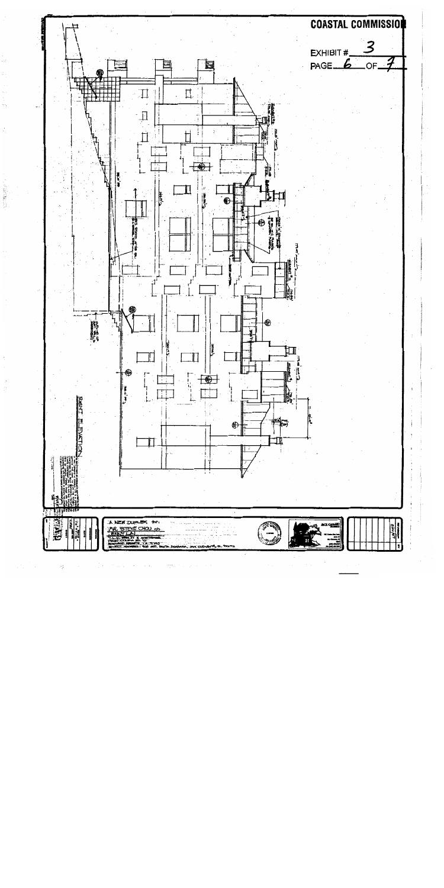